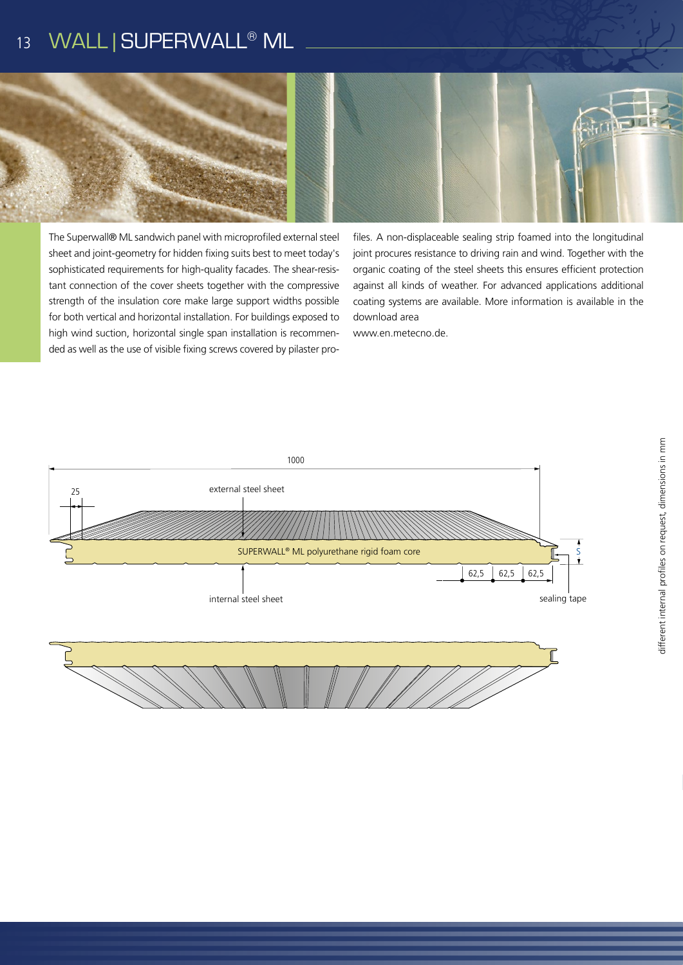#### WALL | SUPERWALL® ML 13



The Superwall® ML sandwich panel with microprofiled external steel sheet and joint-geometry for hidden fixing suits best to meet today's sophisticated requirements for high-quality facades. The shear-resistant connection of the cover sheets together with the compressive strength of the insulation core make large support widths possible for both vertical and horizontal installation. For buildings exposed to high wind suction, horizontal single span installation is recommended as well as the use of visible fixing screws covered by pilaster profiles. A non-displaceable sealing strip foamed into the longitudinal joint procures resistance to driving rain and wind. Together with the organic coating of the steel sheets this ensures efficient protection against all kinds of weather. For advanced applications additional coating systems are available. More information is available in the download area

www.en.metecno.de.